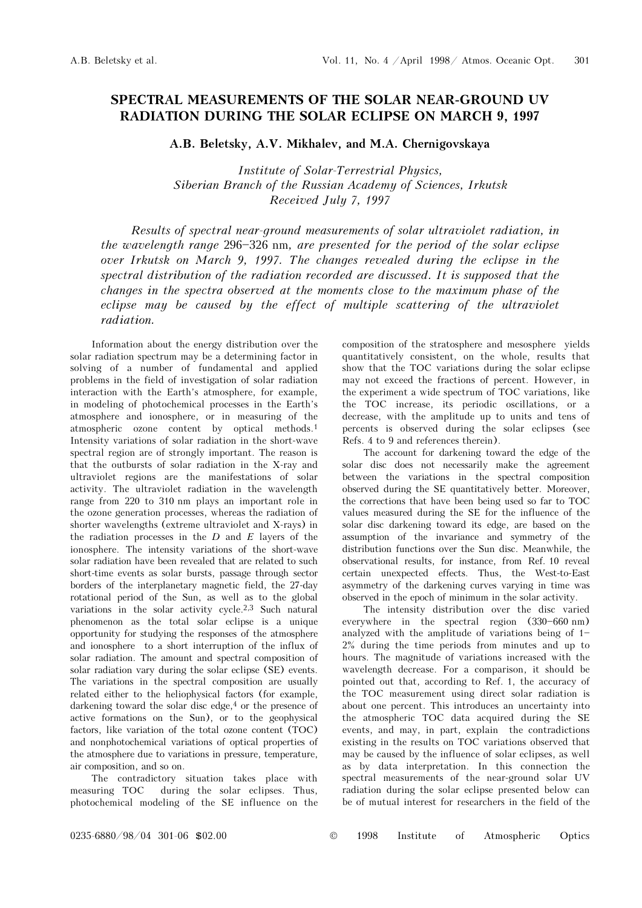# SPECTRAL MEASUREMENTS OF THE SOLAR NEAR-GROUND UV RADIATION DURING THE SOLAR ECLIPSE ON MARCH 9, 1997

A.B. Beletsky, A.V. Mikhalev, and M.A. Chernigovskaya

Institute of Solar-Terrestrial Physics, Siberian Branch of the Russian Academy of Sciences, Irkutsk Received July 7, 1997

Results of spectral near-ground measurements of solar ultraviolet radiation, in the wavelength range  $296 - 326$  nm, are presented for the period of the solar eclipse over Irkutsk on March 9, 1997. The changes revealed during the eclipse in the spectral distribution of the radiation recorded are discussed. It is supposed that the changes in the spectra observed at the moments close to the maximum phase of the eclipse may be caused by the effect of multiple scattering of the ultraviolet radiation.

Information about the energy distribution over the solar radiation spectrum may be a determining factor in solving of a number of fundamental and applied problems in the field of investigation of solar radiation interaction with the Earth's atmosphere, for example, in modeling of photochemical processes in the Earth's atmosphere and ionosphere, or in measuring of the atmospheric ozone content by optical methods.<sup>1</sup> Intensity variations of solar radiation in the short-wave spectral region are of strongly important. The reason is that the outbursts of solar radiation in the X-ray and ultraviolet regions are the manifestations of solar activity. The ultraviolet radiation in the wavelength range from 220 to 310 nm plays an important role in the ozone generation processes, whereas the radiation of shorter wavelengths (extreme ultraviolet and X-rays) in the radiation processes in the  $D$  and  $E$  layers of the ionosphere. The intensity variations of the short-wave solar radiation have been revealed that are related to such short-time events as solar bursts, passage through sector borders of the interplanetary magnetic field, the 27-day rotational period of the Sun, as well as to the global variations in the solar activity cycle.2,3 Such natural phenomenon as the total solar eclipse is a unique opportunity for studying the responses of the atmosphere and ionosphere to a short interruption of the influx of solar radiation. The amount and spectral composition of solar radiation vary during the solar eclipse (SE) events. The variations in the spectral composition are usually related either to the heliophysical factors (for example, darkening toward the solar disc edge,<sup>4</sup> or the presence of active formations on the Sun), or to the geophysical factors, like variation of the total ozone content (TOC) and nonphotochemical variations of optical properties of the atmosphere due to variations in pressure, temperature, air composition, and so on.

The contradictory situation takes place with measuring TOC during the solar eclipses. Thus, photochemical modeling of the SE influence on the composition of the stratosphere and mesosphere yields quantitatively consistent, on the whole, results that show that the TOC variations during the solar eclipse may not exceed the fractions of percent. However, in the experiment a wide spectrum of TOC variations, like the TOC increase, its periodic oscillations, or a decrease, with the amplitude up to units and tens of percents is observed during the solar eclipses (see Refs. 4 to 9 and references therein).

The account for darkening toward the edge of the solar disc does not necessarily make the agreement between the variations in the spectral composition observed during the SE quantitatively better. Moreover, the corrections that have been being used so far to TOC values measured during the SE for the influence of the solar disc darkening toward its edge, are based on the assumption of the invariance and symmetry of the distribution functions over the Sun disc. Meanwhile, the observational results, for instance, from Ref. 10 reveal certain unexpected effects. Thus, the West-to-East asymmetry of the darkening curves varying in time was observed in the epoch of minimum in the solar activity.

The intensity distribution over the disc varied everywhere in the spectral region  $(330-660 \text{ nm})$ analyzed with the amplitude of variations being of  $1-$ 2% during the time periods from minutes and up to hours. The magnitude of variations increased with the wavelength decrease. For a comparison, it should be pointed out that, according to Ref. 1, the accuracy of the TOC measurement using direct solar radiation is about one percent. This introduces an uncertainty into the atmospheric TOC data acquired during the SE events, and may, in part, explain the contradictions existing in the results on TOC variations observed that may be caused by the influence of solar eclipses, as well as by data interpretation. In this connection the spectral measurements of the near-ground solar UV radiation during the solar eclipse presented below can be of mutual interest for researchers in the field of the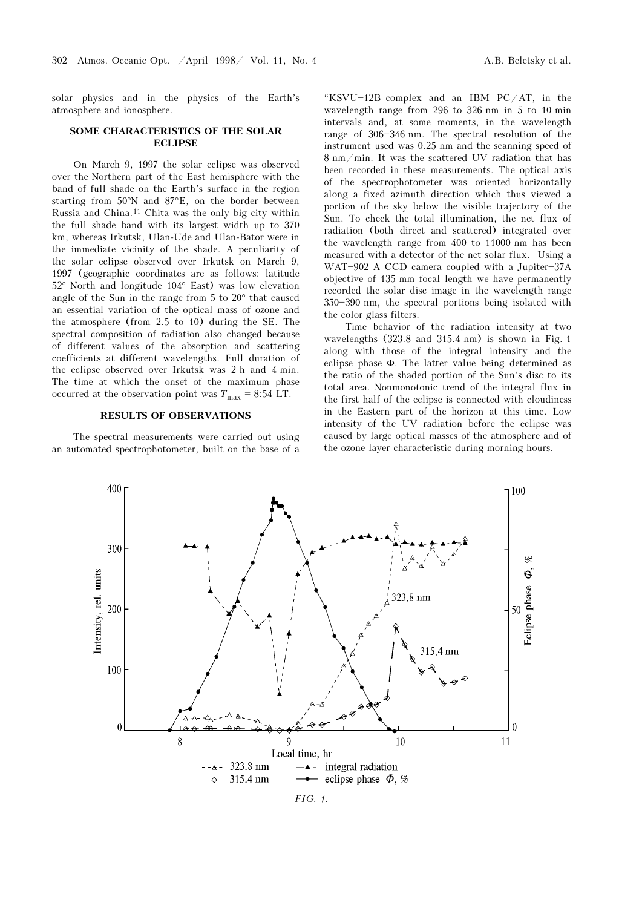solar physics and in the physics of the Earth's atmosphere and ionosphere.

## SOME CHARACTERISTICS OF THE SOLAR ECLIPSE

On March 9, 1997 the solar eclipse was observed over the Northern part of the East hemisphere with the band of full shade on the Earth's surface in the region starting from 50°N and 87°E, on the border between Russia and China.11 Chita was the only big city within the full shade band with its largest width up to 370 km, whereas Irkutsk, Ulan-Ude and Ulan-Bator were in the immediate vicinity of the shade. A peculiarity of the solar eclipse observed over Irkutsk on March 9, 1997 (geographic coordinates are as follows: latitude 52° North and longitude 104° East) was low elevation angle of the Sun in the range from 5 to 20° that caused an essential variation of the optical mass of ozone and the atmosphere (from 2.5 to 10) during the SE. The spectral composition of radiation also changed because of different values of the absorption and scattering coefficients at different wavelengths. Full duration of the eclipse observed over Irkutsk was 2 h and 4 min. The time at which the onset of the maximum phase occurred at the observation point was  $T_{\text{max}} = 8:54 \text{ LT}.$ 

### RESULTS OF OBSERVATIONS

The spectral measurements were carried out using an automated spectrophotometer, built on the base of a

"KSVU $-12B$  complex and an IBM PC/AT, in the wavelength range from 296 to 326 nm in 5 to 10 min intervals and, at some moments, in the wavelength range of 306-346 nm. The spectral resolution of the instrument used was 0.25 nm and the scanning speed of 8 nm/min. It was the scattered UV radiation that has been recorded in these measurements. The optical axis of the spectrophotometer was oriented horizontally along a fixed azimuth direction which thus viewed a portion of the sky below the visible trajectory of the Sun. To check the total illumination, the net flux of radiation (both direct and scattered) integrated over the wavelength range from 400 to 11000 nm has been measured with a detector of the net solar flux. Using a WAT-902 A CCD camera coupled with a Jupiter-37A objective of 135 mm focal length we have permanently recorded the solar disc image in the wavelength range 350\$390 nm, the spectral portions being isolated with the color glass filters.

Time behavior of the radiation intensity at two wavelengths (323.8 and 315.4 nm) is shown in Fig. 1 along with those of the integral intensity and the eclipse phase Φ. The latter value being determined as the ratio of the shaded portion of the Sun's disc to its total area. Nonmonotonic trend of the integral flux in the first half of the eclipse is connected with cloudiness in the Eastern part of the horizon at this time. Low intensity of the UV radiation before the eclipse was caused by large optical masses of the atmosphere and of the ozone layer characteristic during morning hours.



FIG. 1.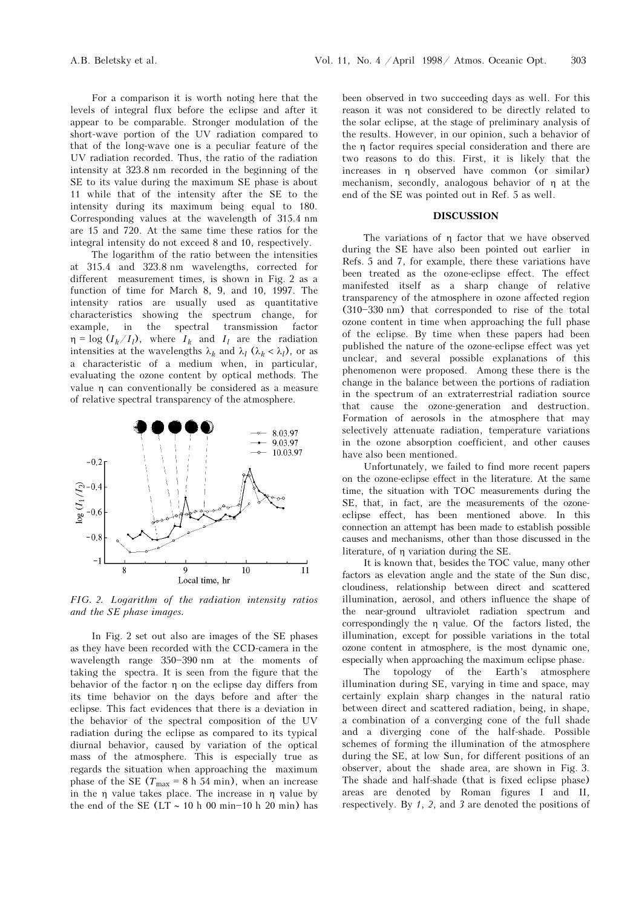For a comparison it is worth noting here that the levels of integral flux before the eclipse and after it appear to be comparable. Stronger modulation of the short-wave portion of the UV radiation compared to that of the long-wave one is a peculiar feature of the UV radiation recorded. Thus, the ratio of the radiation intensity at 323.8 nm recorded in the beginning of the SE to its value during the maximum SE phase is about 11 while that of the intensity after the SE to the intensity during its maximum being equal to 180. Corresponding values at the wavelength of 315.4 nm are 15 and 720. At the same time these ratios for the integral intensity do not exceed 8 and 10, respectively.

The logarithm of the ratio between the intensities at 315.4 and 323.8 nm wavelengths, corrected for different measurement times, is shown in Fig. 2 as a function of time for March 8, 9, and 10, 1997. The intensity ratios are usually used as quantitative characteristics showing the spectrum change, for example, in the spectral transmission factor  $\eta = \log (I_k/I_l)$ , where  $I_k$  and  $I_l$  are the radiation intensities at the wavelengths  $\lambda_k$  and  $\lambda_l$  ( $\lambda_k < \lambda_l$ ), or as a characteristic of a medium when, in particular, evaluating the ozone content by optical methods. The value η can conventionally be considered as a measure of relative spectral transparency of the atmosphere.



FIG. 2. Logarithm of the radiation intensity ratios and the SE phase images.

In Fig. 2 set out also are images of the SE phases as they have been recorded with the CCD-camera in the wavelength range  $350-390$  nm at the moments of taking the spectra. It is seen from the figure that the behavior of the factor η on the eclipse day differs from its time behavior on the days before and after the eclipse. This fact evidences that there is a deviation in the behavior of the spectral composition of the UV radiation during the eclipse as compared to its typical diurnal behavior, caused by variation of the optical mass of the atmosphere. This is especially true as regards the situation when approaching the maximum phase of the SE ( $T_{\text{max}} = 8$  h 54 min), when an increase in the η value takes place. The increase in η value by the end of the SE (LT  $\sim$  10 h 00 min-10 h 20 min) has

been observed in two succeeding days as well. For this reason it was not considered to be directly related to the solar eclipse, at the stage of preliminary analysis of the results. However, in our opinion, such a behavior of the η factor requires special consideration and there are two reasons to do this. First, it is likely that the increases in η observed have common (or similar) mechanism, secondly, analogous behavior of η at the end of the SE was pointed out in Ref. 5 as well.

#### DISCUSSION

The variations of η factor that we have observed during the SE have also been pointed out earlier in Refs. 5 and 7, for example, there these variations have been treated as the ozone-eclipse effect. The effect manifested itself as a sharp change of relative transparency of the atmosphere in ozone affected region (310-330 nm) that corresponded to rise of the total ozone content in time when approaching the full phase of the eclipse. By time when these papers had been published the nature of the ozone-eclipse effect was yet unclear, and several possible explanations of this phenomenon were proposed. Among these there is the change in the balance between the portions of radiation in the spectrum of an extraterrestrial radiation source that cause the ozone-generation and destruction. Formation of aerosols in the atmosphere that may selectively attenuate radiation, temperature variations in the ozone absorption coefficient, and other causes have also been mentioned.

Unfortunately, we failed to find more recent papers on the ozone-eclipse effect in the literature. At the same time, the situation with TOC measurements during the SE, that, in fact, are the measurements of the ozoneeclipse effect, has been mentioned above. In this connection an attempt has been made to establish possible causes and mechanisms, other than those discussed in the literature, of η variation during the SE.

It is known that, besides the TOC value, many other factors as elevation angle and the state of the Sun disc, cloudiness, relationship between direct and scattered illumination, aerosol, and others influence the shape of the near-ground ultraviolet radiation spectrum and correspondingly the η value. Of the factors listed, the illumination, except for possible variations in the total ozone content in atmosphere, is the most dynamic one, especially when approaching the maximum eclipse phase.

The topology of the Earth's atmosphere illumination during SE, varying in time and space, may certainly explain sharp changes in the natural ratio between direct and scattered radiation, being, in shape, a combination of a converging cone of the full shade and a diverging cone of the half-shade. Possible schemes of forming the illumination of the atmosphere during the SE, at low Sun, for different positions of an observer, about the shade area, are shown in Fig. 3. The shade and half-shade (that is fixed eclipse phase) areas are denoted by Roman figures I and II, respectively. By 1, 2, and 3 are denoted the positions of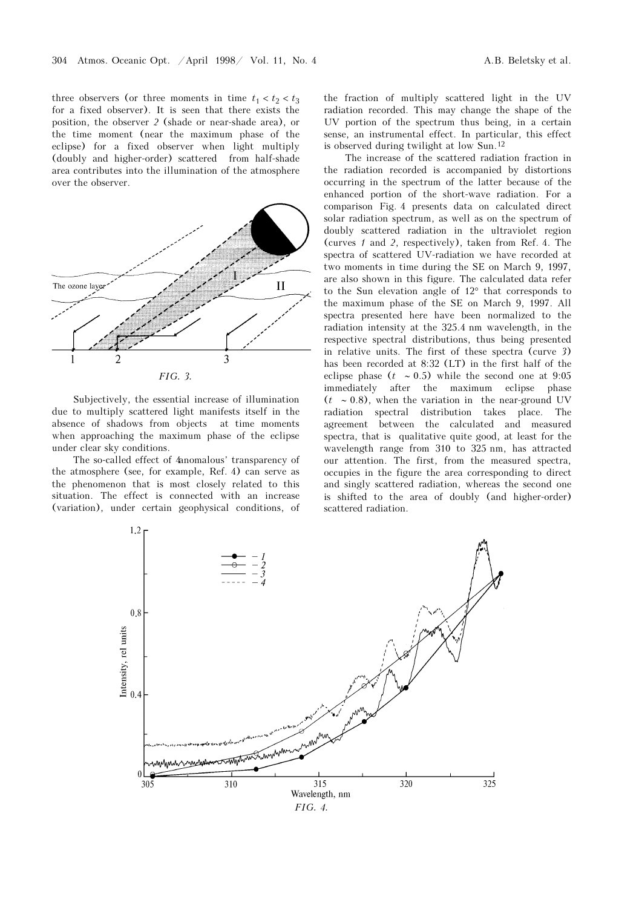three observers (or three moments in time  $t_1 < t_2 < t_3$ for a fixed observer). It is seen that there exists the position, the observer 2 (shade or near-shade area), or the time moment (near the maximum phase of the eclipse) for a fixed observer when light multiply (doubly and higher-order) scattered from half-shade area contributes into the illumination of the atmosphere over the observer.



Subjectively, the essential increase of illumination due to multiply scattered light manifests itself in the absence of shadows from objects at time moments when approaching the maximum phase of the eclipse under clear sky conditions.

The so-called effect of 4anomalous' transparency of the atmosphere (see, for example, Ref. 4) can serve as the phenomenon that is most closely related to this situation. The effect is connected with an increase (variation), under certain geophysical conditions, of the fraction of multiply scattered light in the UV radiation recorded. This may change the shape of the UV portion of the spectrum thus being, in a certain sense, an instrumental effect. In particular, this effect is observed during twilight at low Sun.<sup>12</sup>

The increase of the scattered radiation fraction in the radiation recorded is accompanied by distortions occurring in the spectrum of the latter because of the enhanced portion of the short-wave radiation. For a comparison Fig. 4 presents data on calculated direct solar radiation spectrum, as well as on the spectrum of doubly scattered radiation in the ultraviolet region (curves 1 and 2, respectively), taken from Ref. 4. The spectra of scattered UV-radiation we have recorded at two moments in time during the SE on March 9, 1997, are also shown in this figure. The calculated data refer to the Sun elevation angle of 12° that corresponds to the maximum phase of the SE on March 9, 1997. All spectra presented here have been normalized to the radiation intensity at the 325.4 nm wavelength, in the respective spectral distributions, thus being presented in relative units. The first of these spectra (curve 3) has been recorded at 8:32 (LT) in the first half of the eclipse phase ( $t \sim 0.5$ ) while the second one at 9:05 immediately after the maximum eclipse phase  $(t \sim 0.8)$ , when the variation in the near-ground UV radiation spectral distribution takes place. The agreement between the calculated and measured spectra, that is qualitative quite good, at least for the wavelength range from 310 to 325 nm, has attracted our attention. The first, from the measured spectra, occupies in the figure the area corresponding to direct and singly scattered radiation, whereas the second one is shifted to the area of doubly (and higher-order) scattered radiation.

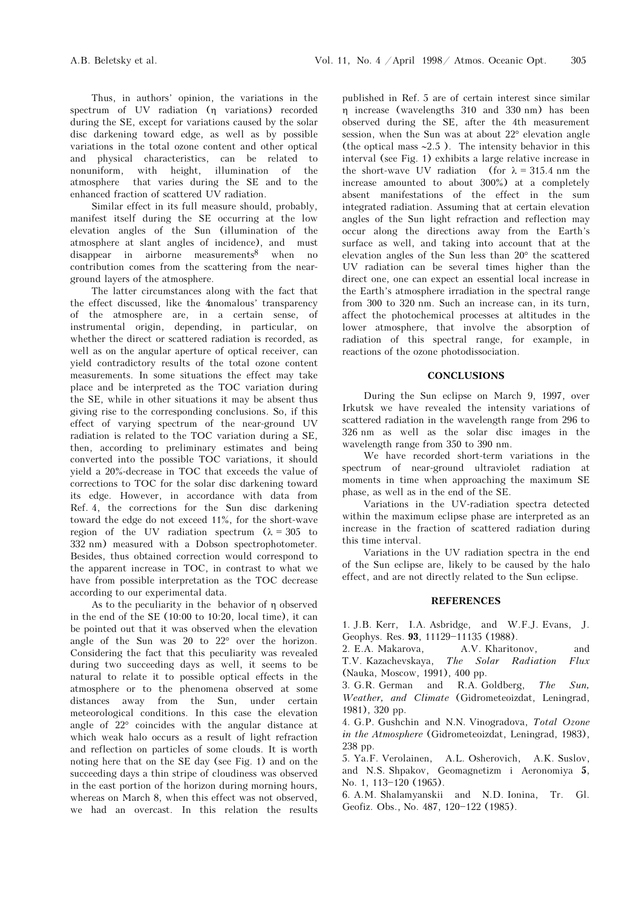Thus, in authors' opinion, the variations in the spectrum of UV radiation (η variations) recorded during the SE, except for variations caused by the solar disc darkening toward edge, as well as by possible variations in the total ozone content and other optical and physical characteristics, can be related to nonuniform, with height, illumination of the atmosphere that varies during the SE and to the enhanced fraction of scattered UV radiation.

Similar effect in its full measure should, probably, manifest itself during the SE occurring at the low elevation angles of the Sun (illumination of the atmosphere at slant angles of incidence), and must disappear in airborne measurements<sup>8</sup> when no contribution comes from the scattering from the nearground layers of the atmosphere.

The latter circumstances along with the fact that the effect discussed, like the 4anomalous' transparency of the atmosphere are, in a certain sense, of instrumental origin, depending, in particular, on whether the direct or scattered radiation is recorded, as well as on the angular aperture of optical receiver, can yield contradictory results of the total ozone content measurements. In some situations the effect may take place and be interpreted as the TOC variation during the SE, while in other situations it may be absent thus giving rise to the corresponding conclusions. So, if this effect of varying spectrum of the near-ground UV radiation is related to the TOC variation during a SE, then, according to preliminary estimates and being converted into the possible TOC variations, it should yield a 20%-decrease in TOC that exceeds the value of corrections to TOC for the solar disc darkening toward its edge. However, in accordance with data from Ref. 4, the corrections for the Sun disc darkening toward the edge do not exceed 11%, for the short-wave region of the UV radiation spectrum  $(\lambda = 305$  to 332 nm) measured with a Dobson spectrophotometer. Besides, thus obtained correction would correspond to the apparent increase in TOC, in contrast to what we have from possible interpretation as the TOC decrease according to our experimental data.

As to the peculiarity in the behavior of η observed in the end of the SE (10:00 to 10:20, local time), it can be pointed out that it was observed when the elevation angle of the Sun was 20 to 22° over the horizon. Considering the fact that this peculiarity was revealed during two succeeding days as well, it seems to be natural to relate it to possible optical effects in the atmosphere or to the phenomena observed at some distances away from the Sun, under certain meteorological conditions. In this case the elevation angle of 22° coincides with the angular distance at which weak halo occurs as a result of light refraction and reflection on particles of some clouds. It is worth noting here that on the SE day (see Fig. 1) and on the succeeding days a thin stripe of cloudiness was observed in the east portion of the horizon during morning hours, whereas on March 8, when this effect was not observed, we had an overcast. In this relation the results published in Ref. 5 are of certain interest since similar η increase (wavelengths 310 and 330 nm) has been observed during the SE, after the 4th measurement session, when the Sun was at about 22° elevation angle (the optical mass ∼2.5 ). The intensity behavior in this interval (see Fig. 1) exhibits a large relative increase in the short-wave UV radiation (for  $\lambda = 315.4$  nm the increase amounted to about 300%) at a completely absent manifestations of the effect in the sum integrated radiation. Assuming that at certain elevation angles of the Sun light refraction and reflection may occur along the directions away from the Earth's surface as well, and taking into account that at the elevation angles of the Sun less than 20° the scattered UV radiation can be several times higher than the direct one, one can expect an essential local increase in the Earth's atmosphere irradiation in the spectral range from 300 to 320 nm. Such an increase can, in its turn, affect the photochemical processes at altitudes in the lower atmosphere, that involve the absorption of radiation of this spectral range, for example, in reactions of the ozone photodissociation.

## **CONCLUSIONS**

During the Sun eclipse on March 9, 1997, over Irkutsk we have revealed the intensity variations of scattered radiation in the wavelength range from 296 to 326 nm as well as the solar disc images in the wavelength range from 350 to 390 nm.

We have recorded short-term variations in the spectrum of near-ground ultraviolet radiation at moments in time when approaching the maximum SE phase, as well as in the end of the SE.

Variations in the UV-radiation spectra detected within the maximum eclipse phase are interpreted as an increase in the fraction of scattered radiation during this time interval.

Variations in the UV radiation spectra in the end of the Sun eclipse are, likely to be caused by the halo effect, and are not directly related to the Sun eclipse.

#### **REFERENCES**

1. J.B. Kerr, I.A. Asbridge, and W.F.J. Evans, J. Geophys. Res. 93, 11129-11135 (1988).

2. E.A. Makarova, A.V. Kharitonov, and T.V. Kazachevskaya, The Solar Radiation Flux (Nauka, Moscow, 1991), 400 pp.

3. G.R. German and R.A. Goldberg, The Sun, Weather, and Climate (Gidrometeoizdat, Leningrad, 1981), 320 pp.

4. G.P. Gushchin and N.N. Vinogradova, Total Ozone in the Atmosphere (Gidrometeoizdat, Leningrad, 1983), 238 pp.

5. Ya.F. Verolainen, A.L. Osherovich, A.K. Suslov, and N.S. Shpakov, Geomagnetizm i Aeronomiya 5, No. 1, 113-120 (1965).

6. A.M. Shalamyanskii and N.D. Ionina, Tr. Gl. Geofiz. Obs., No. 487, 120-122 (1985).